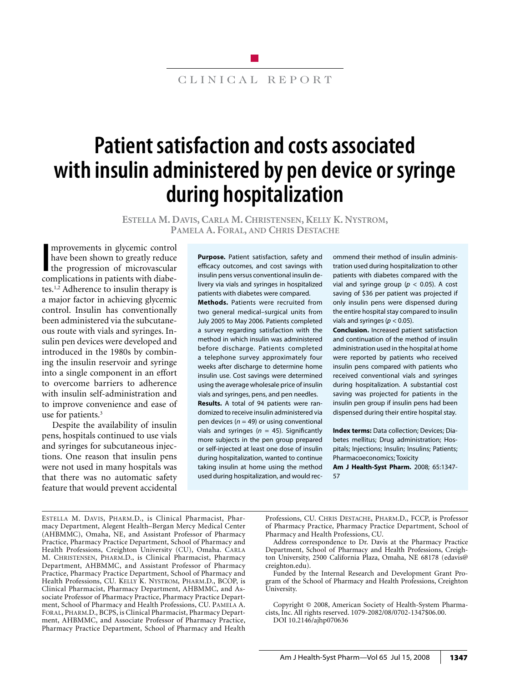## CLINICAL report

# **Patient satisfaction and costs associated with insulin administered by pen device or syringe during hospitalization**

**Estella M. Davis, Carla M. Christensen, Kelly K. Nystrom, Pamela A. Foral, and Chris Destache**

**Purpose.** Patient satisfaction, safety and

mprovements in glycemic control<br>have been shown to greatly reduce<br>the progression of microvascular<br>complications in patients with diabemprovements in glycemic control have been shown to greatly reduce the progression of microvascular tes.1,2 Adherence to insulin therapy is a major factor in achieving glycemic control. Insulin has conventionally been administered via the subcutaneous route with vials and syringes. Insulin pen devices were developed and introduced in the 1980s by combining the insulin reservoir and syringe into a single component in an effort to overcome barriers to adherence with insulin self-administration and to improve convenience and ease of use for patients.<sup>3</sup>

Despite the availability of insulin pens, hospitals continued to use vials and syringes for subcutaneous injections. One reason that insulin pens were not used in many hospitals was that there was no automatic safety feature that would prevent accidental

efficacy outcomes, and cost savings with insulin pens versus conventional insulin delivery via vials and syringes in hospitalized patients with diabetes were compared. **Methods.** Patients were recruited from two general medical–surgical units from July 2005 to May 2006. Patients completed a survey regarding satisfaction with the method in which insulin was administered before discharge. Patients completed a telephone survey approximately four weeks after discharge to determine home insulin use. Cost savings were determined using the average wholesale price of insulin vials and syringes, pens, and pen needles. **Results.** A total of 94 patients were randomized to receive insulin administered via pen devices (*n* = 49) or using conventional vials and syringes ( $n = 45$ ). Significantly

more subjects in the pen group prepared or self-injected at least one dose of insulin during hospitalization, wanted to continue taking insulin at home using the method used during hospitalization, and would recommend their method of insulin administration used during hospitalization to other patients with diabetes compared with the vial and syringe group ( $p < 0.05$ ). A cost saving of \$36 per patient was projected if only insulin pens were dispensed during the entire hospital stay compared to insulin vials and syringes (*p* < 0.05).

**Conclusion.** Increased patient satisfaction and continuation of the method of insulin administration used in the hospital at home were reported by patients who received insulin pens compared with patients who received conventional vials and syringes during hospitalization. A substantial cost saving was projected for patients in the insulin pen group if insulin pens had been dispensed during their entire hospital stay.

**Index terms:** Data collection; Devices; Diabetes mellitus; Drug administration; Hospitals; Injections; Insulin; Insulins; Patients; Pharmacoeconomics; Toxicity

**Am J Health-Syst Pharm.** 2008; 65:1347- 57

Estella M. Davis, Pharm.D., is Clinical Pharmacist, Pharmacy Department, Alegent Health–Bergan Mercy Medical Center (AHBMMC), Omaha, NE, and Assistant Professor of Pharmacy Practice, Pharmacy Practice Department, School of Pharmacy and Health Professions, Creighton University (CU), Omaha. Carla M. Christensen, Pharm.D., is Clinical Pharmacist, Pharmacy Department, AHBMMC, and Assistant Professor of Pharmacy Practice, Pharmacy Practice Department, School of Pharmacy and Health Professions, CU. KELLY K. NYSTROM, PHARM.D., BCOP, is Clinical Pharmacist, Pharmacy Department, AHBMMC, and Associate Professor of Pharmacy Practice, Pharmacy Practice Department, School of Pharmacy and Health Professions, CU. Pamela A. Foral, Pharm.D., BCPS, is Clinical Pharmacist, Pharmacy Department, AHBMMC, and Associate Professor of Pharmacy Practice, Pharmacy Practice Department, School of Pharmacy and Health Professions, CU. Chris Destache, Pharm.D., FCCP, is Professor of Pharmacy Practice, Pharmacy Practice Department, School of Pharmacy and Health Professions, CU.

Address correspondence to Dr. Davis at the Pharmacy Practice Department, School of Pharmacy and Health Professions, Creighton University, 2500 California Plaza, Omaha, NE 68178 (edavis@ creighton.edu).

Funded by the Internal Research and Development Grant Program of the School of Pharmacy and Health Professions, Creighton University.

Copyright © 2008, American Society of Health-System Pharmacists, Inc. All rights reserved. 1079-2082/08/0702-1347\$06.00. DOI 10.2146/ajhp070636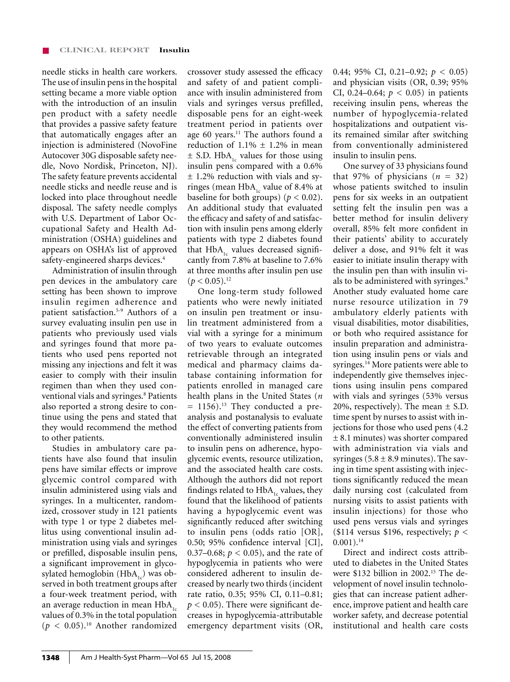needle sticks in health care workers. The use of insulin pens in the hospital setting became a more viable option with the introduction of an insulin pen product with a safety needle that provides a passive safety feature that automatically engages after an injection is administered (NovoFine Autocover 30G disposable safety needle, Novo Nordisk, Princeton, NJ). The safety feature prevents accidental needle sticks and needle reuse and is locked into place throughout needle disposal. The safety needle complys with U.S. Department of Labor Occupational Safety and Health Administration (OSHA) guidelines and appears on OSHA's list of approved safety-engineered sharps devices.<sup>4</sup>

Administration of insulin through pen devices in the ambulatory care setting has been shown to improve insulin regimen adherence and patient satisfaction.5-9 Authors of a survey evaluating insulin pen use in patients who previously used vials and syringes found that more patients who used pens reported not missing any injections and felt it was easier to comply with their insulin regimen than when they used conventional vials and syringes.<sup>8</sup> Patients also reported a strong desire to continue using the pens and stated that they would recommend the method to other patients.

Studies in ambulatory care patients have also found that insulin pens have similar effects or improve glycemic control compared with insulin administered using vials and syringes. In a multicenter, randomized, crossover study in 121 patients with type 1 or type 2 diabetes mellitus using conventional insulin administration using vials and syringes or prefilled, disposable insulin pens, a significant improvement in glycosylated hemoglobin  $(HbA_{1c})$  was observed in both treatment groups after a four-week treatment period, with an average reduction in mean  $HbA<sub>1c</sub>$ values of 0.3% in the total population  $(p < 0.05).$ <sup>10</sup> Another randomized

crossover study assessed the efficacy and safety of and patient compliance with insulin administered from vials and syringes versus prefilled, disposable pens for an eight-week treatment period in patients over age 60 years.<sup>11</sup> The authors found a reduction of  $1.1\% \pm 1.2\%$  in mean  $\pm$  S.D. HbA<sub>1c</sub> values for those using insulin pens compared with a 0.6%  $±$  1.2% reduction with vials and syringes (mean  $HbA_{1c}$  value of 8.4% at baseline for both groups) ( $p < 0.02$ ). An additional study that evaluated the efficacy and safety of and satisfaction with insulin pens among elderly patients with type 2 diabetes found that  $HbA_{1c}$  values decreased significantly from 7.8% at baseline to 7.6% at three months after insulin pen use  $(p < 0.05).^{12}$ 

One long-term study followed patients who were newly initiated on insulin pen treatment or insulin treatment administered from a vial with a syringe for a minimum of two years to evaluate outcomes retrievable through an integrated medical and pharmacy claims database containing information for patients enrolled in managed care health plans in the United States (*n*  $= 1156$ .<sup>13</sup> They conducted a preanalysis and postanalysis to evaluate the effect of converting patients from conventionally administered insulin to insulin pens on adherence, hypoglycemic events, resource utilization, and the associated health care costs. Although the authors did not report findings related to  $HbA_{1c}$  values, they found that the likelihood of patients having a hypoglycemic event was significantly reduced after switching to insulin pens (odds ratio [OR], 0.50; 95% confidence interval [CI], 0.37–0.68; *p* < 0.05), and the rate of hypoglycemia in patients who were considered adherent to insulin decreased by nearly two thirds (incident rate ratio, 0.35; 95% CI, 0.11–0.81;  $p < 0.05$ ). There were significant decreases in hypoglycemia-attributable emergency department visits (OR,

0.44; 95% CI, 0.21–0.92; *p* < 0.05) and physician visits (OR, 0.39; 95% CI, 0.24–0.64;  $p < 0.05$ ) in patients receiving insulin pens, whereas the number of hypoglycemia-related hospitalizations and outpatient visits remained similar after switching from conventionally administered insulin to insulin pens.

One survey of 33 physicians found that 97% of physicians  $(n = 32)$ whose patients switched to insulin pens for six weeks in an outpatient setting felt the insulin pen was a better method for insulin delivery overall, 85% felt more confident in their patients' ability to accurately deliver a dose, and 91% felt it was easier to initiate insulin therapy with the insulin pen than with insulin vials to be administered with syringes.<sup>9</sup> Another study evaluated home care nurse resource utilization in 79 ambulatory elderly patients with visual disabilities, motor disabilities, or both who required assistance for insulin preparation and administration using insulin pens or vials and syringes.<sup>14</sup> More patients were able to independently give themselves injections using insulin pens compared with vials and syringes (53% versus 20%, respectively). The mean  $\pm$  S.D. time spent by nurses to assist with injections for those who used pens (4.2 ± 8.1 minutes) was shorter compared with administration via vials and syringes (5.8  $\pm$  8.9 minutes). The saving in time spent assisting with injections significantly reduced the mean daily nursing cost (calculated from nursing visits to assist patients with insulin injections) for those who used pens versus vials and syringes (\$114 versus \$196, respectively;  $p <$  $0.001$ ).<sup>14</sup>

Direct and indirect costs attributed to diabetes in the United States were \$132 billion in 2002.<sup>15</sup> The development of novel insulin technologies that can increase patient adherence, improve patient and health care worker safety, and decrease potential institutional and health care costs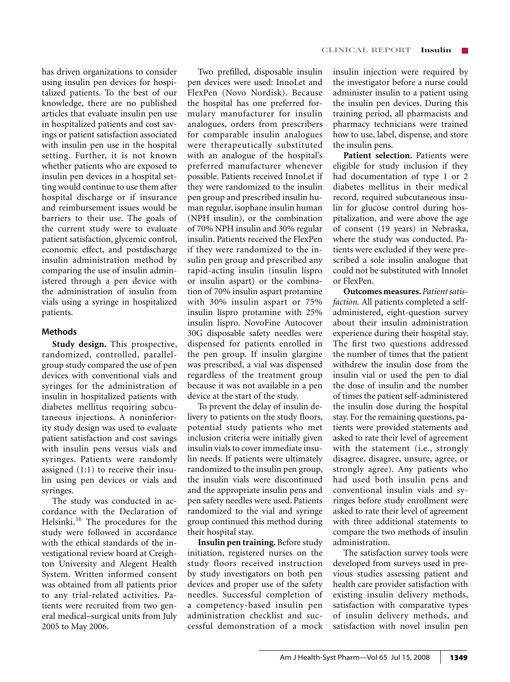has driven organizations to consider using insulin pen devices for hospitalized patients. To the best of our knowledge, there are no published articles that evaluate insulin pen use in hospitalized patients and cost savings or patient satisfaction associated with insulin pen use in the hospital setting. Further, it is not known whether patients who are exposed to insulin pen devices in a hospital setting would continue to use them after hospital discharge or if insurance and reimbursement issues would be barriers to their use. The goals of the current study were to evaluate patient satisfaction, glycemic control, economic effect, and postdischarge insulin administration method by comparing the use of insulin administered through a pen device with the administration of insulin from vials using a syringe in hospitalized patients.

## **Methods**

**Study design.** This prospective, randomized, controlled, parallelgroup study compared the use of pen devices with conventional vials and syringes for the administration of insulin in hospitalized patients with diabetes mellitus requiring subcutaneous injections. A noninferiority study design was used to evaluate patient satisfaction and cost savings with insulin pens versus vials and syringes. Patients were randomly assigned (1:1) to receive their insulin using pen devices or vials and syringes.

The study was conducted in accordance with the Declaration of Helsinki. <sup>16</sup> The procedures for the study were followed in accordance with the ethical standards of the investigational review board at Creighton University and Alegent Health System. Written informed consent was obtained from all patients prior to any trial-related activities. Patients were recruited from two general medical–surgical units from July 2005 to May 2006.

Two prefilled, disposable insulin pen devices were used: InnoLet and FlexPen (Novo Nordisk). Because the hospital has one preferred formulary manufacturer for insulin analogues, orders from prescribers for comparable insulin analogues were therapeutically substituted with an analogue of the hospital's preferred manufacturer whenever possible. Patients received InnoLet if they were randomized to the insulin pen group and prescribed insulin human regular, isophane insulin human (NPH insulin), or the combination of 70% NPH insulin and 30% regular insulin. Patients received the FlexPen if they were randomized to the insulin pen group and prescribed any rapid-acting insulin (insulin lispro or insulin aspart) or the combination of 70% insulin aspart protamine with 30% insulin aspart or 75% insulin lispro protamine with 25% insulin lispro. NovoFine Autocover 30G disposable safety needles were dispensed for patients enrolled in the pen group. If insulin glargine was prescribed, a vial was dispensed regardless of the treatment group because it was not available in a pen device at the start of the study.

To prevent the delay of insulin delivery to patients on the study floors, potential study patients who met inclusion criteria were initially given insulin vials to cover immediate insulin needs. If patients were ultimately randomized to the insulin pen group, the insulin vials were discontinued and the appropriate insulin pens and pen safety needles were used. Patients randomized to the vial and syringe group continued this method during their hospital stay.

**Insulin pen training.** Before study initiation, registered nurses on the study floors received instruction by study investigators on both pen devices and proper use of the safety needles. Successful completion of a competency-based insulin pen administration checklist and successful demonstration of a mock

insulin injection were required by the investigator before a nurse could administer insulin to a patient using the insulin pen devices. During this training period, all pharmacists and pharmacy technicians were trained how to use, label, dispense, and store the insulin pens.

**Patient selection.** Patients were eligible for study inclusion if they had documentation of type 1 or 2 diabetes mellitus in their medical record, required subcutaneous insulin for glucose control during hospitalization, and were above the age of consent (19 years) in Nebraska, where the study was conducted. Patients were excluded if they were prescribed a sole insulin analogue that could not be substituted with Innolet or FlexPen.

**Outcomes measures.** *Patient satisfaction.* All patients completed a selfadministered, eight-question survey about their insulin administration experience during their hospital stay. The first two questions addressed the number of times that the patient withdrew the insulin dose from the insulin vial or used the pen to dial the dose of insulin and the number of times the patient self-administered the insulin dose during the hospital stay. For the remaining questions, patients were provided statements and asked to rate their level of agreement with the statement (i.e., strongly disagree, disagree, unsure, agree, or strongly agree). Any patients who had used both insulin pens and conventional insulin vials and syringes before study enrollment were asked to rate their level of agreement with three additional statements to compare the two methods of insulin administration.

The satisfaction survey tools were developed from surveys used in previous studies assessing patient and health care provider satisfaction with existing insulin delivery methods, satisfaction with comparative types of insulin delivery methods, and satisfaction with novel insulin pen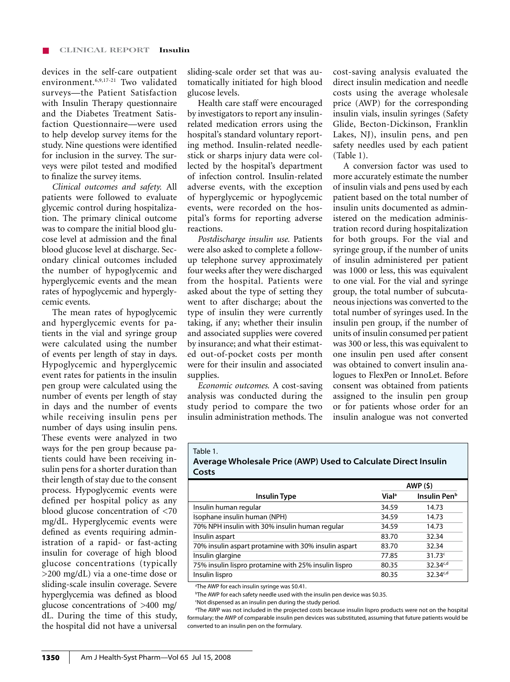devices in the self-care outpatient environment.6,9,17-21 Two validated surveys—the Patient Satisfaction with Insulin Therapy questionnaire and the Diabetes Treatment Satisfaction Questionnaire—were used to help develop survey items for the study. Nine questions were identified for inclusion in the survey. The surveys were pilot tested and modified to finalize the survey items.

*Clinical outcomes and safety.* All patients were followed to evaluate glycemic control during hospitalization. The primary clinical outcome was to compare the initial blood glucose level at admission and the final blood glucose level at discharge. Secondary clinical outcomes included the number of hypoglycemic and hyperglycemic events and the mean rates of hypoglycemic and hyperglycemic events.

The mean rates of hypoglycemic and hyperglycemic events for patients in the vial and syringe group were calculated using the number of events per length of stay in days. Hypoglycemic and hyperglycemic event rates for patients in the insulin pen group were calculated using the number of events per length of stay in days and the number of events while receiving insulin pens per number of days using insulin pens. These events were analyzed in two ways for the pen group because patients could have been receiving insulin pens for a shorter duration than their length of stay due to the consent process. Hypoglycemic events were defined per hospital policy as any blood glucose concentration of <70 mg/dL. Hyperglycemic events were defined as events requiring administration of a rapid- or fast-acting insulin for coverage of high blood glucose concentrations (typically >200 mg/dL) via a one-time dose or sliding-scale insulin coverage. Severe hyperglycemia was defined as blood glucose concentrations of >400 mg/ dL. During the time of this study, the hospital did not have a universal sliding-scale order set that was automatically initiated for high blood glucose levels.

Health care staff were encouraged by investigators to report any insulinrelated medication errors using the hospital's standard voluntary reporting method. Insulin-related needlestick or sharps injury data were collected by the hospital's department of infection control. Insulin-related adverse events, with the exception of hyperglycemic or hypoglycemic events, were recorded on the hospital's forms for reporting adverse reactions.

*Postdischarge insulin use.* Patients were also asked to complete a followup telephone survey approximately four weeks after they were discharged from the hospital. Patients were asked about the type of setting they went to after discharge; about the type of insulin they were currently taking, if any; whether their insulin and associated supplies were covered by insurance; and what their estimated out-of-pocket costs per month were for their insulin and associated supplies.

*Economic outcomes.* A cost-saving analysis was conducted during the study period to compare the two insulin administration methods. The

cost-saving analysis evaluated the direct insulin medication and needle costs using the average wholesale price (AWP) for the corresponding insulin vials, insulin syringes (Safety Glide, Becton-Dickinson, Franklin Lakes, NJ), insulin pens, and pen safety needles used by each patient (Table 1).

A conversion factor was used to more accurately estimate the number of insulin vials and pens used by each patient based on the total number of insulin units documented as administered on the medication administration record during hospitalization for both groups. For the vial and syringe group, if the number of units of insulin administered per patient was 1000 or less, this was equivalent to one vial. For the vial and syringe group, the total number of subcutaneous injections was converted to the total number of syringes used. In the insulin pen group, if the number of units of insulin consumed per patient was 300 or less, this was equivalent to one insulin pen used after consent was obtained to convert insulin analogues to FlexPen or InnoLet. Before consent was obtained from patients assigned to the insulin pen group or for patients whose order for an insulin analogue was not converted

### Table 1. **Average Wholesale Price (AWP) Used to Calculate Direct Insulin Costs**

|                                                      | <b>AWP (\$)</b>          |                          |
|------------------------------------------------------|--------------------------|--------------------------|
| Insulin Type                                         | <b>Vial</b> <sup>a</sup> | Insulin Pen <sup>b</sup> |
| Insulin human regular                                | 34.59                    | 14.73                    |
| Isophane insulin human (NPH)                         | 34.59                    | 14.73                    |
| 70% NPH insulin with 30% insulin human regular       | 34.59                    | 14.73                    |
| Insulin aspart                                       | 83.70                    | 32.34                    |
| 70% insulin aspart protamine with 30% insulin aspart | 83.70                    | 32.34                    |
| Insulin glargine                                     | 77.85                    | 31.73c                   |
| 75% insulin lispro protamine with 25% insulin lispro | 80.35                    | 32.34 <sup>c,d</sup>     |
| Insulin lispro                                       | 80.35                    | 32.34 <sup>c,d</sup>     |

a The AWP for each insulin syringe was \$0.41.

<sup>b</sup>The AWP for each safety needle used with the insulin pen device was \$0.35.

c Not dispensed as an insulin pen during the study period.

d The AWP was not included in the projected costs because insulin lispro products were not on the hospital formulary; the AWP of comparable insulin pen devices was substituted, assuming that future patients would be converted to an insulin pen on the formulary.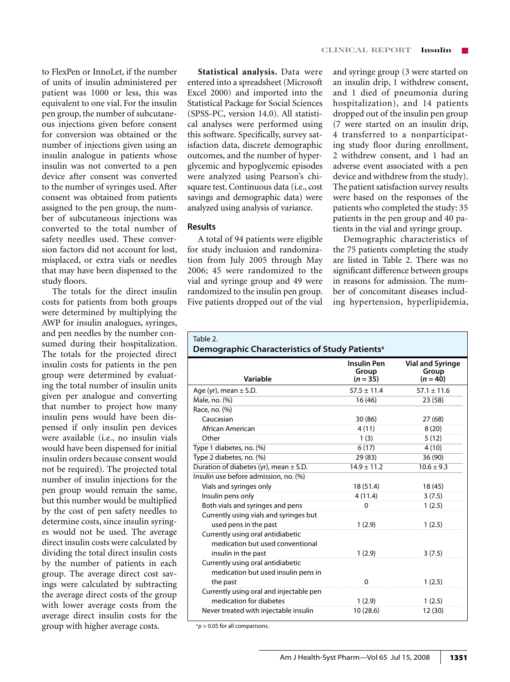to FlexPen or InnoLet, if the number of units of insulin administered per patient was 1000 or less, this was equivalent to one vial. For the insulin pen group, the number of subcutaneous injections given before consent for conversion was obtained or the number of injections given using an insulin analogue in patients whose insulin was not converted to a pen device after consent was converted to the number of syringes used. After consent was obtained from patients assigned to the pen group, the number of subcutaneous injections was converted to the total number of safety needles used. These conversion factors did not account for lost, misplaced, or extra vials or needles that may have been dispensed to the study floors.

The totals for the direct insulin costs for patients from both groups were determined by multiplying the AWP for insulin analogues, syringes, and pen needles by the number consumed during their hospitalization. The totals for the projected direct insulin costs for patients in the pen group were determined by evaluating the total number of insulin units given per analogue and converting that number to project how many insulin pens would have been dispensed if only insulin pen devices were available (i.e., no insulin vials would have been dispensed for initial insulin orders because consent would not be required). The projected total number of insulin injections for the pen group would remain the same, but this number would be multiplied by the cost of pen safety needles to determine costs, since insulin syringes would not be used. The average direct insulin costs were calculated by dividing the total direct insulin costs by the number of patients in each group. The average direct cost savings were calculated by subtracting the average direct costs of the group with lower average costs from the average direct insulin costs for the group with higher average costs.

**Statistical analysis.** Data were entered into a spreadsheet (Microsoft Excel 2000) and imported into the Statistical Package for Social Sciences (SPSS-PC, version 14.0). All statistical analyses were performed using this software. Specifically, survey satisfaction data, discrete demographic outcomes, and the number of hyperglycemic and hypoglycemic episodes were analyzed using Pearson's chisquare test. Continuous data (i.e., cost savings and demographic data) were analyzed using analysis of variance.

#### **Results**

A total of 94 patients were eligible for study inclusion and randomization from July 2005 through May 2006; 45 were randomized to the vial and syringe group and 49 were randomized to the insulin pen group. Five patients dropped out of the vial

and syringe group (3 were started on an insulin drip, 1 withdrew consent, and 1 died of pneumonia during hospitalization), and 14 patients dropped out of the insulin pen group (7 were started on an insulin drip, 4 transferred to a nonparticipating study floor during enrollment, 2 withdrew consent, and 1 had an adverse event associated with a pen device and withdrew from the study). The patient satisfaction survey results were based on the responses of the patients who completed the study: 35 patients in the pen group and 40 patients in the vial and syringe group.

Demographic characteristics of the 75 patients completing the study are listed in Table 2. There was no significant difference between groups in reasons for admission. The number of concomitant diseases including hypertension, hyperlipidemia,

| Table 2.<br>Demographic Characteristics of Study Patients <sup>a</sup>   |                                           |                                                |
|--------------------------------------------------------------------------|-------------------------------------------|------------------------------------------------|
| Variable                                                                 | <b>Insulin Pen</b><br>Group<br>$(n = 35)$ | <b>Vial and Syringe</b><br>Group<br>$(n = 40)$ |
| Age (yr), mean $\pm$ S.D.                                                | $57.5 \pm 11.4$                           | $57.1 \pm 11.6$                                |
| Male, no. (%)                                                            | 16 (46)                                   | 23 (58)                                        |
| Race, no. (%)                                                            |                                           |                                                |
| Caucasian                                                                | 30(86)                                    | 27 (68)                                        |
| African American                                                         | 4(11)                                     | 8(20)                                          |
| Other                                                                    | 1(3)                                      | 5(12)                                          |
| Type 1 diabetes, no. (%)                                                 | 6(17)                                     | 4(10)                                          |
| Type 2 diabetes, no. (%)                                                 | 29 (83)                                   | 36 (90)                                        |
| Duration of diabetes (yr), mean $\pm$ S.D.                               | $14.9 \pm 11.2$                           | $10.6 + 9.3$                                   |
| Insulin use before admission, no. (%)                                    |                                           |                                                |
| Vials and syringes only                                                  | 18 (51.4)                                 | 18 (45)                                        |
| Insulin pens only                                                        | 4(11.4)                                   | 3(7.5)                                         |
| Both vials and syringes and pens                                         | 0                                         | 1(2.5)                                         |
| Currently using vials and syringes but                                   |                                           |                                                |
| used pens in the past                                                    | 1(2.9)                                    | 1(2.5)                                         |
| Currently using oral antidiabetic<br>medication but used conventional    |                                           |                                                |
| insulin in the past                                                      | 1(2.9)                                    | 3(7.5)                                         |
| Currently using oral antidiabetic<br>medication but used insulin pens in |                                           |                                                |
| the past                                                                 | $\Omega$                                  | 1(2.5)                                         |
| Currently using oral and injectable pen<br>medication for diabetes       | 1(2.9)                                    | 1(2.5)                                         |
| Never treated with injectable insulin                                    | 10 (28.6)                                 | 12 (30)                                        |

<sup>a</sup>  $p > 0.05$  for all comparisons.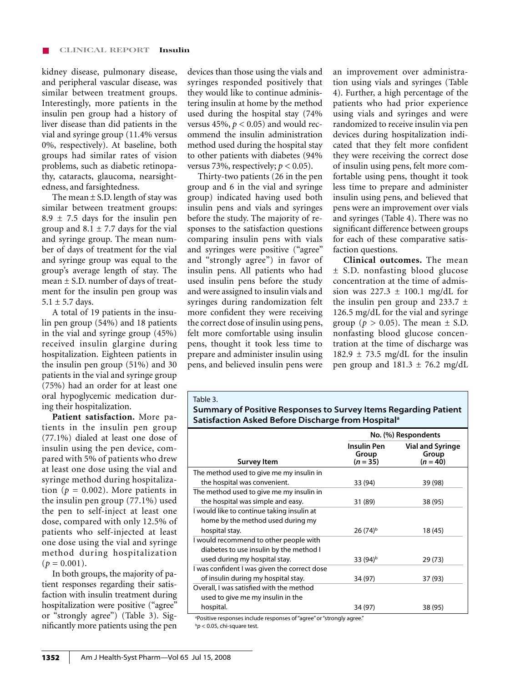kidney disease, pulmonary disease, and peripheral vascular disease, was similar between treatment groups. Interestingly, more patients in the insulin pen group had a history of liver disease than did patients in the vial and syringe group (11.4% versus 0%, respectively). At baseline, both groups had similar rates of vision problems, such as diabetic retinopathy, cataracts, glaucoma, nearsightedness, and farsightedness.

The mean  $\pm$  S.D. length of stay was similar between treatment groups:  $8.9 \pm 7.5$  days for the insulin pen group and  $8.1 \pm 7.7$  days for the vial and syringe group. The mean number of days of treatment for the vial and syringe group was equal to the group's average length of stay. The mean  $\pm$  S.D. number of days of treatment for the insulin pen group was  $5.1 \pm 5.7$  days.

A total of 19 patients in the insulin pen group (54%) and 18 patients in the vial and syringe group (45%) received insulin glargine during hospitalization. Eighteen patients in the insulin pen group (51%) and 30 patients in the vial and syringe group (75%) had an order for at least one oral hypoglycemic medication during their hospitalization.

**Patient satisfaction.** More patients in the insulin pen group (77.1%) dialed at least one dose of insulin using the pen device, compared with 5% of patients who drew at least one dose using the vial and syringe method during hospitalization ( $p = 0.002$ ). More patients in the insulin pen group (77.1%) used the pen to self-inject at least one dose, compared with only 12.5% of patients who self-injected at least one dose using the vial and syringe method during hospitalization  $(p = 0.001)$ .

In both groups, the majority of patient responses regarding their satisfaction with insulin treatment during hospitalization were positive ("agree" or "strongly agree") (Table 3). Significantly more patients using the pen

devices than those using the vials and syringes responded positively that they would like to continue administering insulin at home by the method used during the hospital stay (74% versus  $45\%, p < 0.05$  and would recommend the insulin administration method used during the hospital stay to other patients with diabetes (94% versus 73%, respectively;  $p < 0.05$ ).

Thirty-two patients (26 in the pen group and 6 in the vial and syringe group) indicated having used both insulin pens and vials and syringes before the study. The majority of responses to the satisfaction questions comparing insulin pens with vials and syringes were positive ("agree" and "strongly agree") in favor of insulin pens. All patients who had used insulin pens before the study and were assigned to insulin vials and syringes during randomization felt more confident they were receiving the correct dose of insulin using pens, felt more comfortable using insulin pens, thought it took less time to prepare and administer insulin using pens, and believed insulin pens were

an improvement over administration using vials and syringes (Table 4). Further, a high percentage of the patients who had prior experience using vials and syringes and were randomized to receive insulin via pen devices during hospitalization indicated that they felt more confident they were receiving the correct dose of insulin using pens, felt more comfortable using pens, thought it took less time to prepare and administer insulin using pens, and believed that pens were an improvement over vials and syringes (Table 4). There was no significant difference between groups for each of these comparative satisfaction questions.

**Clinical outcomes.** The mean ± S.D. nonfasting blood glucose concentration at the time of admission was  $227.3 \pm 100.1$  mg/dL for the insulin pen group and  $233.7 \pm$ 126.5 mg/dL for the vial and syringe group ( $p > 0.05$ ). The mean  $\pm$  S.D. nonfasting blood glucose concentration at the time of discharge was 182.9  $\pm$  73.5 mg/dL for the insulin pen group and  $181.3 \pm 76.2$  mg/dL

## Table 3.

**Summary of Positive Responses to Survey Items Regarding Patient Satisfaction Asked Before Discharge from Hospitala**

|                                                                                   | No. (%) Respondents                       |                                                |
|-----------------------------------------------------------------------------------|-------------------------------------------|------------------------------------------------|
| <b>Survey Item</b>                                                                | <b>Insulin Pen</b><br>Group<br>$(n = 35)$ | <b>Vial and Syringe</b><br>Group<br>$(n = 40)$ |
| The method used to give me my insulin in                                          |                                           |                                                |
| the hospital was convenient.                                                      | 33 (94)                                   | 39 (98)                                        |
| The method used to give me my insulin in                                          |                                           |                                                |
| the hospital was simple and easy.                                                 | 31 (89)                                   | 38 (95)                                        |
| I would like to continue taking insulin at<br>home by the method used during my   |                                           |                                                |
| hospital stay.                                                                    | $26(74)^{b}$                              | 18 (45)                                        |
| I would recommend to other people with<br>diabetes to use insulin by the method I |                                           |                                                |
| used during my hospital stay.                                                     | 33 $(94)^{b}$                             | 29 (73)                                        |
| I was confident I was given the correct dose                                      |                                           |                                                |
| of insulin during my hospital stay.                                               | 34 (97)                                   | 37 (93)                                        |
| Overall, I was satisfied with the method                                          |                                           |                                                |
| used to give me my insulin in the                                                 |                                           |                                                |
| hospital.                                                                         | 34 (97)                                   | 38 (95)                                        |

<sup>a</sup>Positive responses include responses of "agree" or "strongly agree."

b *p* < 0.05, chi-square test.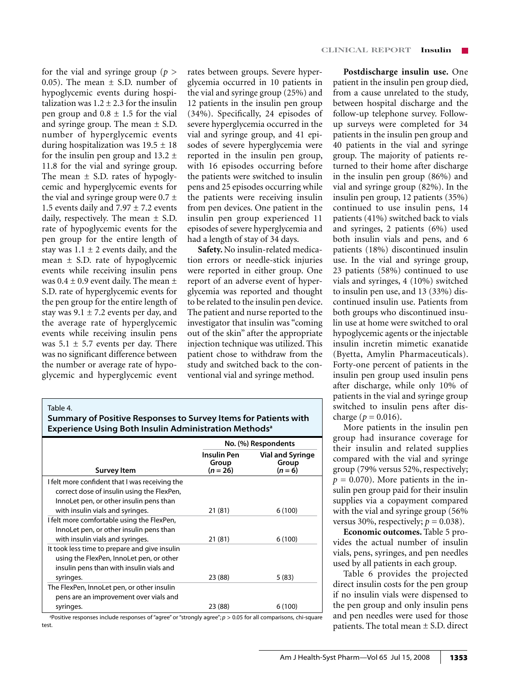**clinical Report Insulin**

for the vial and syringe group (*p* > 0.05). The mean  $\pm$  S.D. number of hypoglycemic events during hospitalization was  $1.2 \pm 2.3$  for the insulin pen group and  $0.8 \pm 1.5$  for the vial and syringe group. The mean  $\pm$  S.D. number of hyperglycemic events during hospitalization was  $19.5 \pm 18$ for the insulin pen group and  $13.2 \pm$ 11.8 for the vial and syringe group. The mean  $\pm$  S.D. rates of hypoglycemic and hyperglycemic events for the vial and syringe group were  $0.7 \pm$ 1.5 events daily and  $7.97 \pm 7.2$  events daily, respectively. The mean  $\pm$  S.D. rate of hypoglycemic events for the pen group for the entire length of stay was  $1.1 \pm 2$  events daily, and the mean ± S.D. rate of hypoglycemic events while receiving insulin pens was  $0.4 \pm 0.9$  event daily. The mean  $\pm$ S.D. rate of hyperglycemic events for the pen group for the entire length of stay was  $9.1 \pm 7.2$  events per day, and the average rate of hyperglycemic events while receiving insulin pens was  $5.1 \pm 5.7$  events per day. There was no significant difference between the number or average rate of hypoglycemic and hyperglycemic event

rates between groups. Severe hyperglycemia occurred in 10 patients in the vial and syringe group (25%) and 12 patients in the insulin pen group (34%). Specifically, 24 episodes of severe hyperglycemia occurred in the vial and syringe group, and 41 episodes of severe hyperglycemia were reported in the insulin pen group, with 16 episodes occurring before the patients were switched to insulin pens and 25 episodes occurring while the patients were receiving insulin from pen devices. One patient in the insulin pen group experienced 11 episodes of severe hyperglycemia and had a length of stay of 34 days.

**Safety.** No insulin-related medication errors or needle-stick injuries were reported in either group. One report of an adverse event of hyperglycemia was reported and thought to be related to the insulin pen device. The patient and nurse reported to the investigator that insulin was "coming out of the skin" after the appropriate injection technique was utilized. This patient chose to withdraw from the study and switched back to the conventional vial and syringe method.

#### Table 4.

## **Summary of Positive Responses to Survey Items for Patients with Experience Using Both Insulin Administration Methodsa**

|                                                                                                                                         | No. (%) Respondents                |                                        |
|-----------------------------------------------------------------------------------------------------------------------------------------|------------------------------------|----------------------------------------|
| <b>Survey Item</b>                                                                                                                      | Insulin Pen<br>Group<br>$(n = 26)$ | Vial and Syringe<br>Group<br>$(n = 6)$ |
| I felt more confident that I was receiving the<br>correct dose of insulin using the FlexPen,<br>InnoLet pen, or other insulin pens than |                                    |                                        |
| with insulin vials and syringes.                                                                                                        | 21 (81)                            | 6(100)                                 |
| I felt more comfortable using the FlexPen,                                                                                              |                                    |                                        |
| InnoLet pen, or other insulin pens than                                                                                                 |                                    |                                        |
| with insulin vials and syringes.                                                                                                        | 21 (81)                            | 6(100)                                 |
| It took less time to prepare and give insulin                                                                                           |                                    |                                        |
| using the FlexPen, InnoLet pen, or other                                                                                                |                                    |                                        |
| insulin pens than with insulin vials and                                                                                                |                                    |                                        |
| syringes.                                                                                                                               | 23 (88)                            | 5(83)                                  |
| The FlexPen, InnoLet pen, or other insulin                                                                                              |                                    |                                        |
| pens are an improvement over vials and                                                                                                  |                                    |                                        |
| syringes.                                                                                                                               | 23 (88)                            | 6(100)                                 |

a Positive responses include responses of "agree" or "strongly agree"; *p* > 0.05 for all comparisons, chi-square test.

**Postdischarge insulin use.** One patient in the insulin pen group died, from a cause unrelated to the study, between hospital discharge and the follow-up telephone survey. Followup surveys were completed for 34 patients in the insulin pen group and 40 patients in the vial and syringe group. The majority of patients returned to their home after discharge in the insulin pen group (86%) and vial and syringe group (82%). In the insulin pen group, 12 patients (35%) continued to use insulin pens, 14 patients (41%) switched back to vials and syringes, 2 patients (6%) used both insulin vials and pens, and 6 patients (18%) discontinued insulin use. In the vial and syringe group, 23 patients (58%) continued to use vials and syringes, 4 (10%) switched to insulin pen use, and 13 (33%) discontinued insulin use. Patients from both groups who discontinued insulin use at home were switched to oral hypoglycemic agents or the injectable insulin incretin mimetic exanatide (Byetta, Amylin Pharmaceuticals). Forty-one percent of patients in the insulin pen group used insulin pens after discharge, while only 10% of patients in the vial and syringe group switched to insulin pens after discharge ( $p = 0.016$ ).

More patients in the insulin pen group had insurance coverage for their insulin and related supplies compared with the vial and syringe group (79% versus 52%, respectively;  $p = 0.070$ ). More patients in the insulin pen group paid for their insulin supplies via a copayment compared with the vial and syringe group (56% versus 30%, respectively;  $p = 0.038$ ).

**Economic outcomes.** Table 5 provides the actual number of insulin vials, pens, syringes, and pen needles used by all patients in each group.

Table 6 provides the projected direct insulin costs for the pen group if no insulin vials were dispensed to the pen group and only insulin pens and pen needles were used for those patients. The total mean  $\pm$  S.D. direct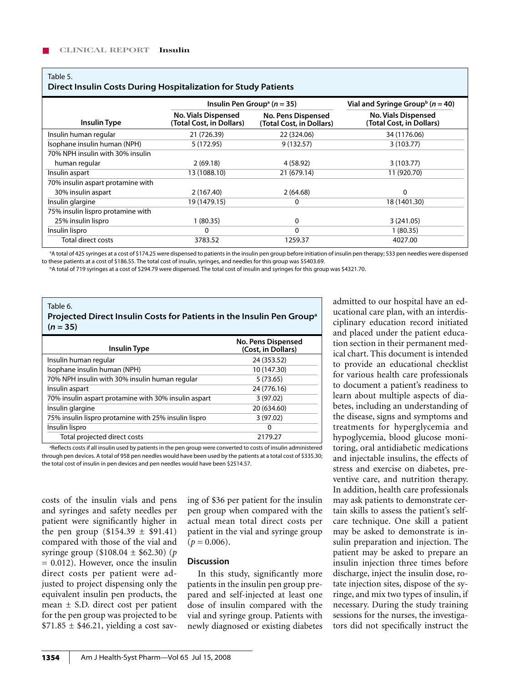#### Table 5.

#### **Direct Insulin Costs During Hospitalization for Study Patients**

|                                   | Insulin Pen Group <sup>a</sup> ( $n = 35$ )            |                                                | Vial and Syringe Group <sup>b</sup> ( $n = 40$ )       |
|-----------------------------------|--------------------------------------------------------|------------------------------------------------|--------------------------------------------------------|
| <b>Insulin Type</b>               | <b>No. Vials Dispensed</b><br>(Total Cost, in Dollars) | No. Pens Dispensed<br>(Total Cost, in Dollars) | <b>No. Vials Dispensed</b><br>(Total Cost, in Dollars) |
| Insulin human regular             | 21 (726.39)                                            | 22 (324.06)                                    | 34 (1176.06)                                           |
| Isophane insulin human (NPH)      | 5 (172.95)                                             | 9(132.57)                                      | 3(103.77)                                              |
| 70% NPH insulin with 30% insulin  |                                                        |                                                |                                                        |
| human regular                     | 2(69.18)                                               | 4 (58.92)                                      | 3(103.77)                                              |
| Insulin aspart                    | 13 (1088.10)                                           | 21 (679.14)                                    | 11 (920.70)                                            |
| 70% insulin aspart protamine with |                                                        |                                                |                                                        |
| 30% insulin aspart                | 2(167.40)                                              | 2(64.68)                                       | 0                                                      |
| Insulin glargine                  | 19 (1479.15)                                           | 0                                              | 18 (1401.30)                                           |
| 75% insulin lispro protamine with |                                                        |                                                |                                                        |
| 25% insulin lispro                | 1(80.35)                                               | 0                                              | 3(241.05)                                              |
| Insulin lispro                    | $\Omega$                                               | 0                                              | 1(80.35)                                               |
| <b>Total direct costs</b>         | 3783.52                                                | 1259.37                                        | 4027.00                                                |

a A total of 425 syringes at a cost of \$174.25 were dispensed to patients in the insulin pen group before initiation of insulin pen therapy; 533 pen needles were dispensed to these patients at a cost of \$186.55. The total cost of insulin, syringes, and needles for this group was \$5403.69.

b A total of 719 syringes at a cost of \$294.79 were dispensed. The total cost of insulin and syringes for this group was \$4321.70.

### Table 6. **Projected Direct Insulin Costs for Patients in the Insulin Pen Groupa**  $(n = 35)$

| Insulin Type                                         | No. Pens Dispensed<br>(Cost, in Dollars) |
|------------------------------------------------------|------------------------------------------|
| Insulin human regular                                | 24 (353.52)                              |
| Isophane insulin human (NPH)                         | 10 (147.30)                              |
| 70% NPH insulin with 30% insulin human regular       | 5(73.65)                                 |
| Insulin aspart                                       | 24 (776.16)                              |
| 70% insulin aspart protamine with 30% insulin aspart | 3(97.02)                                 |
| Insulin glargine                                     | 20 (634.60)                              |
| 75% insulin lispro protamine with 25% insulin lispro | 3(97.02)                                 |
| Insulin lispro                                       | 0                                        |
| Total projected direct costs                         | 2179.27                                  |

a Reflects costs if all insulin used by patients in the pen group were converted to costs of insulin administered through pen devices. A total of 958 pen needles would have been used by the patients at a total cost of \$335.30; the total cost of insulin in pen devices and pen needles would have been \$2514.57.

costs of the insulin vials and pens and syringes and safety needles per patient were significantly higher in the pen group  $(\$154.39 \pm \$91.41)$ compared with those of the vial and syringe group (\$108.04 ± \$62.30) (*p*  $= 0.012$ ). However, once the insulin direct costs per patient were adjusted to project dispensing only the equivalent insulin pen products, the mean ± S.D. direct cost per patient for the pen group was projected to be  $$71.85 \pm $46.21$ , yielding a cost sav-

ing of \$36 per patient for the insulin pen group when compared with the actual mean total direct costs per patient in the vial and syringe group  $(p = 0.006)$ .

#### **Discussion**

In this study, significantly more patients in the insulin pen group prepared and self-injected at least one dose of insulin compared with the vial and syringe group. Patients with newly diagnosed or existing diabetes admitted to our hospital have an educational care plan, with an interdisciplinary education record initiated and placed under the patient education section in their permanent medical chart. This document is intended to provide an educational checklist for various health care professionals to document a patient's readiness to learn about multiple aspects of diabetes, including an understanding of the disease, signs and symptoms and treatments for hyperglycemia and hypoglycemia, blood glucose monitoring, oral antidiabetic medications and injectable insulins, the effects of stress and exercise on diabetes, preventive care, and nutrition therapy. In addition, health care professionals may ask patients to demonstrate certain skills to assess the patient's selfcare technique. One skill a patient may be asked to demonstrate is insulin preparation and injection. The patient may be asked to prepare an insulin injection three times before discharge, inject the insulin dose, rotate injection sites, dispose of the syringe, and mix two types of insulin, if necessary. During the study training sessions for the nurses, the investigators did not specifically instruct the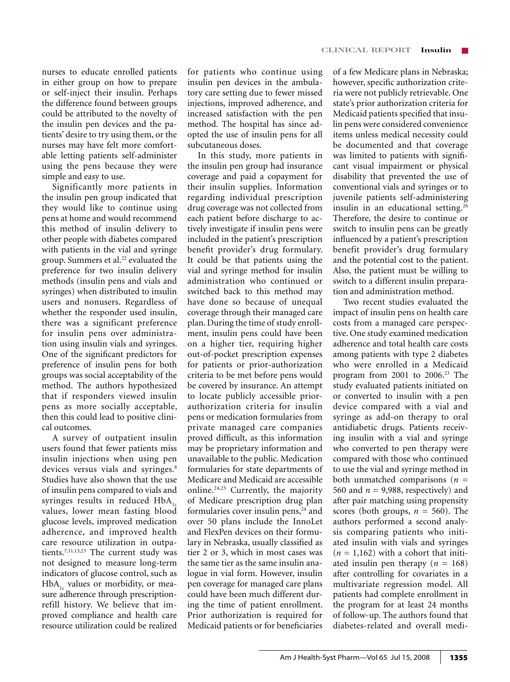nurses to educate enrolled patients in either group on how to prepare or self-inject their insulin. Perhaps the difference found between groups could be attributed to the novelty of the insulin pen devices and the patients' desire to try using them, or the nurses may have felt more comfortable letting patients self-administer using the pens because they were simple and easy to use.

Significantly more patients in the insulin pen group indicated that they would like to continue using pens at home and would recommend this method of insulin delivery to other people with diabetes compared with patients in the vial and syringe group. Summers et al.<sup>22</sup> evaluated the preference for two insulin delivery methods (insulin pens and vials and syringes) when distributed to insulin users and nonusers. Regardless of whether the responder used insulin, there was a significant preference for insulin pens over administration using insulin vials and syringes. One of the significant predictors for preference of insulin pens for both groups was social acceptability of the method. The authors hypothesized that if responders viewed insulin pens as more socially acceptable, then this could lead to positive clinical outcomes.

A survey of outpatient insulin users found that fewer patients miss insulin injections when using pen devices versus vials and syringes.<sup>8</sup> Studies have also shown that the use of insulin pens compared to vials and syringes results in reduced  $HbA<sub>1c</sub>$ values, lower mean fasting blood glucose levels, improved medication adherence, and improved health care resource utilization in outpatients.7,11,13,23 The current study was not designed to measure long-term indicators of glucose control, such as  $HbA<sub>1c</sub>$  values or morbidity, or measure adherence through prescriptionrefill history. We believe that improved compliance and health care resource utilization could be realized

for patients who continue using insulin pen devices in the ambulatory care setting due to fewer missed injections, improved adherence, and increased satisfaction with the pen method. The hospital has since adopted the use of insulin pens for all subcutaneous doses.

In this study, more patients in the insulin pen group had insurance coverage and paid a copayment for their insulin supplies. Information regarding individual prescription drug coverage was not collected from each patient before discharge to actively investigate if insulin pens were included in the patient's prescription benefit provider's drug formulary. It could be that patients using the vial and syringe method for insulin administration who continued or switched back to this method may have done so because of unequal coverage through their managed care plan. During the time of study enrollment, insulin pens could have been on a higher tier, requiring higher out-of-pocket prescription expenses for patients or prior-authorization criteria to be met before pens would be covered by insurance. An attempt to locate publicly accessible priorauthorization criteria for insulin pens or medication formularies from private managed care companies proved difficult, as this information may be proprietary information and unavailable to the public. Medication formularies for state departments of Medicare and Medicaid are accessible online.24,25 Currently, the majority of Medicare prescription drug plan formularies cover insulin pens,<sup>24</sup> and over 50 plans include the InnoLet and FlexPen devices on their formulary in Nebraska, usually classified as tier 2 or 3, which in most cases was the same tier as the same insulin analogue in vial form. However, insulin pen coverage for managed care plans could have been much different during the time of patient enrollment. Prior authorization is required for Medicaid patients or for beneficiaries

of a few Medicare plans in Nebraska; however, specific authorization criteria were not publicly retrievable. One state's prior authorization criteria for Medicaid patients specified that insulin pens were considered convenience items unless medical necessity could be documented and that coverage was limited to patients with significant visual impairment or physical disability that prevented the use of conventional vials and syringes or to juvenile patients self-administering insulin in an educational setting.<sup>26</sup> Therefore, the desire to continue or switch to insulin pens can be greatly influenced by a patient's prescription benefit provider's drug formulary and the potential cost to the patient. Also, the patient must be willing to switch to a different insulin preparation and administration method.

Two recent studies evaluated the impact of insulin pens on health care costs from a managed care perspective. One study examined medication adherence and total health care costs among patients with type 2 diabetes who were enrolled in a Medicaid program from 2001 to 2006.23 The study evaluated patients initiated on or converted to insulin with a pen device compared with a vial and syringe as add-on therapy to oral antidiabetic drugs. Patients receiving insulin with a vial and syringe who converted to pen therapy were compared with those who continued to use the vial and syringe method in both unmatched comparisons (*n* = 560 and  $n = 9,988$ , respectively) and after pair matching using propensity scores (both groups,  $n = 560$ ). The authors performed a second analysis comparing patients who initiated insulin with vials and syringes  $(n = 1,162)$  with a cohort that initiated insulin pen therapy  $(n = 168)$ after controlling for covariates in a multivariate regression model. All patients had complete enrollment in the program for at least 24 months of follow-up. The authors found that diabetes-related and overall medi-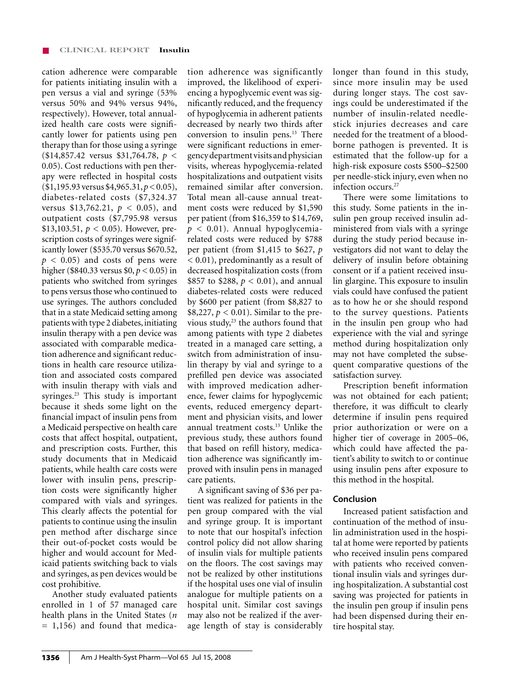cation adherence were comparable for patients initiating insulin with a pen versus a vial and syringe (53% versus 50% and 94% versus 94%, respectively). However, total annualized health care costs were significantly lower for patients using pen therapy than for those using a syringe (\$14,857.42 versus \$31,764.78, *p* < 0.05). Cost reductions with pen therapy were reflected in hospital costs (\$1,195.93 versus \$4,965.31, *p* < 0.05), diabetes-related costs (\$7,324.37 versus \$13,762.21, *p* < 0.05), and outpatient costs (\$7,795.98 versus \$13,103.51,  $p < 0.05$ ). However, prescription costs of syringes were significantly lower (\$535.70 versus \$670.52,  $p < 0.05$ ) and costs of pens were higher (\$840.33 versus \$0, *p* < 0.05) in patients who switched from syringes to pens versus those who continued to use syringes. The authors concluded that in a state Medicaid setting among patients with type 2 diabetes, initiating insulin therapy with a pen device was associated with comparable medication adherence and significant reductions in health care resource utilization and associated costs compared with insulin therapy with vials and syringes.<sup>23</sup> This study is important because it sheds some light on the financial impact of insulin pens from a Medicaid perspective on health care costs that affect hospital, outpatient, and prescription costs. Further, this study documents that in Medicaid patients, while health care costs were lower with insulin pens, prescription costs were significantly higher compared with vials and syringes. This clearly affects the potential for patients to continue using the insulin pen method after discharge since their out-of-pocket costs would be higher and would account for Medicaid patients switching back to vials and syringes, as pen devices would be cost prohibitive.

Another study evaluated patients enrolled in 1 of 57 managed care health plans in the United States (*n*  $= 1,156$ ) and found that medication adherence was significantly improved, the likelihood of experiencing a hypoglycemic event was significantly reduced, and the frequency of hypoglycemia in adherent patients decreased by nearly two thirds after conversion to insulin pens.<sup>13</sup> There were significant reductions in emergency department visits and physician visits, whereas hypoglycemia-related hospitalizations and outpatient visits remained similar after conversion. Total mean all-cause annual treatment costs were reduced by \$1,590 per patient (from \$16,359 to \$14,769, *p* < 0.01). Annual hypoglycemiarelated costs were reduced by \$788 per patient (from \$1,415 to \$627, *p* < 0.01), predominantly as a result of decreased hospitalization costs (from \$857 to \$288, *p* < 0.01), and annual diabetes-related costs were reduced by \$600 per patient (from \$8,827 to \$8,227,  $p < 0.01$ ). Similar to the previous study,<sup>23</sup> the authors found that among patients with type 2 diabetes treated in a managed care setting, a switch from administration of insulin therapy by vial and syringe to a prefilled pen device was associated with improved medication adherence, fewer claims for hypoglycemic events, reduced emergency department and physician visits, and lower annual treatment costs.<sup>13</sup> Unlike the previous study, these authors found that based on refill history, medication adherence was significantly improved with insulin pens in managed care patients.

A significant saving of \$36 per patient was realized for patients in the pen group compared with the vial and syringe group. It is important to note that our hospital's infection control policy did not allow sharing of insulin vials for multiple patients on the floors. The cost savings may not be realized by other institutions if the hospital uses one vial of insulin analogue for multiple patients on a hospital unit. Similar cost savings may also not be realized if the average length of stay is considerably

longer than found in this study, since more insulin may be used during longer stays. The cost savings could be underestimated if the number of insulin-related needlestick injuries decreases and care needed for the treatment of a bloodborne pathogen is prevented. It is estimated that the follow-up for a high-risk exposure costs \$500–\$2500 per needle-stick injury, even when no infection occurs.27

There were some limitations to this study. Some patients in the insulin pen group received insulin administered from vials with a syringe during the study period because investigators did not want to delay the delivery of insulin before obtaining consent or if a patient received insulin glargine. This exposure to insulin vials could have confused the patient as to how he or she should respond to the survey questions. Patients in the insulin pen group who had experience with the vial and syringe method during hospitalization only may not have completed the subsequent comparative questions of the satisfaction survey.

Prescription benefit information was not obtained for each patient; therefore, it was difficult to clearly determine if insulin pens required prior authorization or were on a higher tier of coverage in 2005–06, which could have affected the patient's ability to switch to or continue using insulin pens after exposure to this method in the hospital.

#### **Conclusion**

Increased patient satisfaction and continuation of the method of insulin administration used in the hospital at home were reported by patients who received insulin pens compared with patients who received conventional insulin vials and syringes during hospitalization. A substantial cost saving was projected for patients in the insulin pen group if insulin pens had been dispensed during their entire hospital stay.